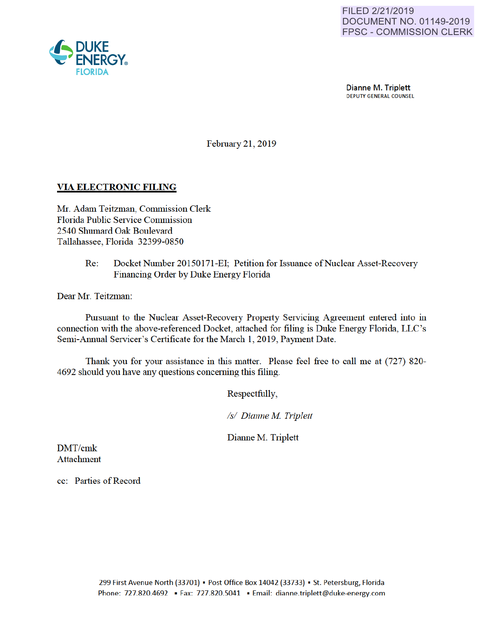

Dianne M. Triplett<br>DEPUTY GENERAL COUNSEL

February 21, 2019

### VIA ELECTRONIC FILING

Mr. Adam Teitzman, Commission Clerk Florida Public Service Commission 2540 Shumard Oak Boulevard Tallahassee, Florida 32399-0850

> Re: Docket Number 20150171-EI; Petition for Issuance of Nuclear Asset-Recovery Financing Order by Duke Energy Florida

Dear Mr. Teitzman:

Pursuant to the Nuclear Asset-Recovery Property Servicing Agreement entered into in connection with the above-referenced Docket, attached for filing is Duke Energy Florida, LLC's Semi-Annual Servicer's Certificate for the March 1, 2019, Payment Date.

Thank you for your assistance in this matter. Please feel free to call me at (727) 820- 4692 should you have any questions conceming this filing.

Respectfully,

*Is/ Dianne M Triplett* 

Dianne M. Triplett

DMT/cmk Attachment

cc: Parties of Record

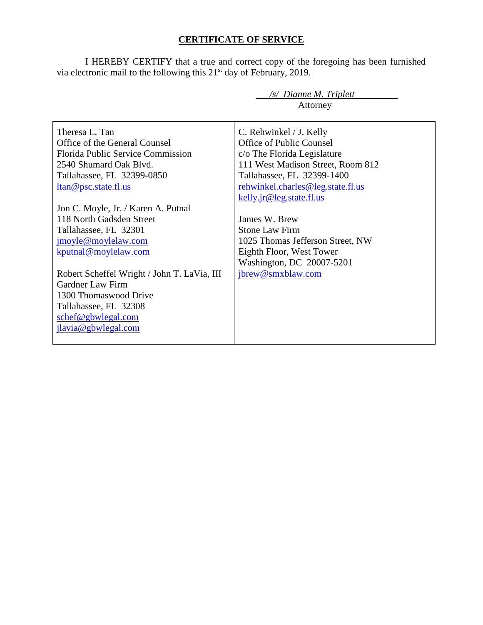# **CERTIFICATE OF SERVICE**

I HEREBY CERTIFY that a true and correct copy of the foregoing has been furnished via electronic mail to the following this  $21<sup>st</sup>$  day of February, 2019.

|                                             | /s/ Dianne M. Triplett                              |
|---------------------------------------------|-----------------------------------------------------|
|                                             | Attorney                                            |
| Theresa L. Tan                              |                                                     |
| Office of the General Counsel               | C. Rehwinkel / J. Kelly<br>Office of Public Counsel |
|                                             |                                                     |
| <b>Florida Public Service Commission</b>    | c/o The Florida Legislature                         |
| 2540 Shumard Oak Blyd.                      | 111 West Madison Street, Room 812                   |
| Tallahassee, FL 32399-0850                  | Tallahassee, FL 32399-1400                          |
| ltan@psc.state.fl.us                        | rehwinkel.charles@leg.state.fl.us                   |
|                                             | kelly.jr@leg.state.fl.us                            |
| Jon C. Moyle, Jr. / Karen A. Putnal         |                                                     |
| 118 North Gadsden Street                    | James W. Brew                                       |
| Tallahassee, FL 32301                       | <b>Stone Law Firm</b>                               |
| jmoyle@moylelaw.com                         | 1025 Thomas Jefferson Street, NW                    |
| kputnal@moylelaw.com                        | Eighth Floor, West Tower                            |
|                                             | Washington, DC 20007-5201                           |
| Robert Scheffel Wright / John T. LaVia, III | jbrew@smxblaw.com                                   |
| <b>Gardner Law Firm</b>                     |                                                     |
| 1300 Thomaswood Drive                       |                                                     |
| Tallahassee, FL 32308                       |                                                     |
| schef@gbwlegal.com                          |                                                     |
| jlavia@gbwlegal.com                         |                                                     |
|                                             |                                                     |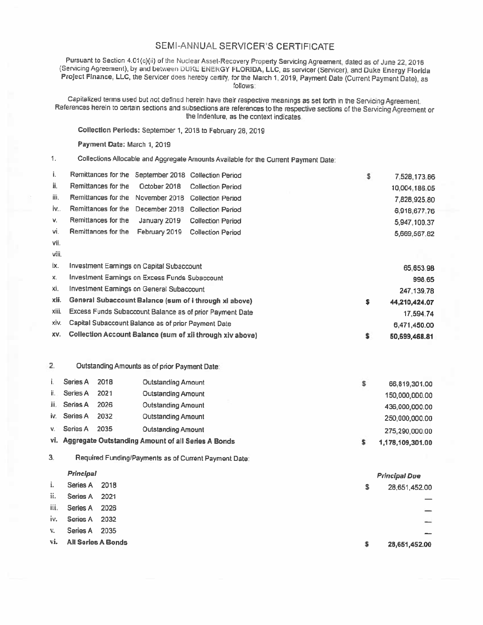## SEMI-ANNUAL SERVICER'S CERTIFICATE

Pursuant to Section 4.01(c)(ii) of the Nuclear Asset-Recovery Property Servicing Agreement, dated as of June 22, 2016 (Servicing Agreement), by and between DUKL ENERGY FLORIDA, LLC, as servicer (Servicer), and Duke Energy Florida Project Finance, LLC, the Servicer does hereby certify, for the March 1, 2019, Payment Date (Current Payment Date), as follows:

Capitalized terms used but not defined herein have their respective meanings as set forth in the Servicing Agreement. References herein to certain sections and subsections are references to the respective sections of the Servicing Agreement or the Indenture, as the context indicates.

Collection Periods: September 1, 2018 to February 28, 2019

Payment Date: March 1, 2019

 $\mathbf{1}$ . Collections Allocable and Aggregate Amounts Available for the Current Payment Date:

| j.   | Remittances for the September 2018 Collection Period |  | \$<br>7,528,173.86 |
|------|------------------------------------------------------|--|--------------------|
| ij.  | Remittances for the  October 2018  Collection Period |  | 10,004.186.05      |
| iii. | Remittances for the November 2018 Collection Period  |  | 7,828,925.80       |
| iv   | Remittances for the December 2018 Collection Period  |  | 6,918,677.76       |
| V.   | Remittances for the January 2019 Collection Period   |  | 5,947,100.37       |
| vi.  | Remittances for the February 2019 Collection Period  |  | 5,669,567.82       |
| vii. |                                                      |  |                    |

| ix.   | Investment Earnings on Capital Subaccount                 | 65.653.98     |
|-------|-----------------------------------------------------------|---------------|
| х.    | Investment Earnings on Excess Funds Subaccount            | 998.65        |
| XI.   | Investment Earnings on General Subaccount                 | 247,139.78    |
| xii.  | General Subaccount Balance (sum of i through xi above)    | 44.210.424.07 |
| xiii. | Excess Funds Subaccount Balance as of prior Payment Date  | 17.594.74     |
| XIV.  | Capital Subaccount Balance as of prior Payment Date       | 6,471,450.00  |
| XV.   | Collection Account Balance (sum of xii through xiv above) | 50,699,468.81 |

#### $2.$ Outstanding Amounts as of prior Payment Date:

|    | Series A     | 2018 | <b>Outstanding Amount</b>                              | 66,819,301.00    |
|----|--------------|------|--------------------------------------------------------|------------------|
| Ħ. | Series A     | 2021 | Outstanding Amount                                     | 150,000,000.00   |
| Ш. | Series A     | 2026 | <b>Outstanding Amount</b>                              | 436,000,000.00   |
|    | iv. Series A | 2032 | Outstanding Amount                                     | 250,000,000.00   |
| v. | Series A     | 2035 | Outstanding Amount                                     | 275,290,000.00   |
|    |              |      | vi. Aggregate Outstanding Amount of all Series A Bonds | 1,178,109,301.00 |

3. Required Funding/Payments as of Current Payment Date:

#### Principal

| i. | Series A 2018          | \$. | 28,651,452.00            |
|----|------------------------|-----|--------------------------|
|    | ii. Series A 2021      |     |                          |
|    | iii. Series A 2026     |     | $\overline{\phantom{0}}$ |
|    | iv. Series A 2032      |     | $\frac{1}{2}$            |
|    | v. Series A 2035       |     |                          |
|    | vi. All Series A Bonds |     | 28,651,452.00            |

**Principal Due**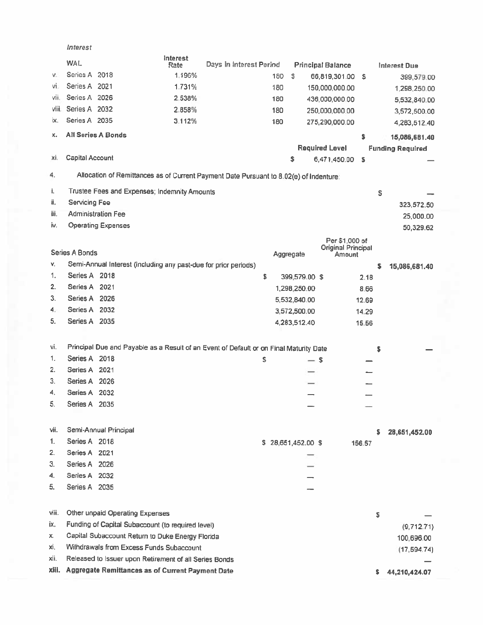|       | Interest                  |                                                                                        |                         |     |                    |                                      |        |    |                         |  |
|-------|---------------------------|----------------------------------------------------------------------------------------|-------------------------|-----|--------------------|--------------------------------------|--------|----|-------------------------|--|
|       | <b>WAL</b>                | Interest<br>Rate                                                                       | Days in interest Period |     |                    | <b>Principal Balance</b>             |        |    | Interest Due            |  |
| v.    | Series A 2018             | 1.196%                                                                                 |                         | 180 | s.                 | 66,819,301.00                        | ŝ.     |    | 399,579.00              |  |
| vi.   | Series A 2021             | 1.731%                                                                                 |                         | 180 |                    | 150,000,000.00                       |        |    | 1,298,250.00            |  |
| vii.  | Series A 2026             | 2.538%                                                                                 |                         | 180 |                    | 436,000,000.00                       |        |    | 5,532,840.00            |  |
| viii. | Series A 2032             | 2.858%                                                                                 |                         | 180 |                    | 250,000,000.00                       |        |    | 3,572,500.00            |  |
| ix.   | Series A 2035             | 3.112%                                                                                 |                         | 180 |                    | 275,290,000.00                       |        |    | 4,283,512.40            |  |
| x.    | <b>All Series A Bonds</b> |                                                                                        |                         |     |                    |                                      | \$     |    | 15,086,681.40           |  |
|       |                           |                                                                                        |                         |     |                    | <b>Required Level</b>                |        |    | <b>Funding Required</b> |  |
| xi.   | Capital Account           |                                                                                        |                         |     | \$                 | 6,471,450.00                         | \$     |    |                         |  |
|       |                           |                                                                                        |                         |     |                    |                                      |        |    |                         |  |
| 4.    |                           | Allocation of Remittances as of Current Payment Date Pursuant to 8.02(e) of Indenture. |                         |     |                    |                                      |        |    |                         |  |
| i.    |                           | Trustee Fees and Expenses; Indemnity Amounts                                           |                         |     |                    |                                      |        | \$ |                         |  |
| ii.   | Servicing Fee             |                                                                                        |                         |     |                    |                                      |        |    | 323,572.50              |  |
| iii.  | <b>Administration Fee</b> |                                                                                        |                         |     |                    |                                      |        |    | 25,000.00               |  |
| İ٧.   | <b>Operating Expenses</b> |                                                                                        |                         |     |                    |                                      |        |    | 50,329.62               |  |
|       |                           |                                                                                        |                         |     |                    | Per \$1,000 of<br>Original Principal |        |    |                         |  |
|       | Series A Bonds            |                                                                                        |                         |     | Aggregate          | Amount                               |        |    |                         |  |
| V.    |                           | Semi-Annual Interest (including any past-due for prior periods)                        |                         |     |                    |                                      |        | \$ | 15,086,681.40           |  |
| 1.    | Series A 2018             |                                                                                        | \$                      |     | 399,579.00 \$      |                                      | 2.18   |    |                         |  |
| 2.    | Series A 2021             |                                                                                        |                         |     | 1,298,250.00       |                                      | 8.66   |    |                         |  |
| 3.    | Series A 2026             |                                                                                        |                         |     | 5,532,840.00       |                                      | 12.69  |    |                         |  |
| 4.    | Series A 2032             |                                                                                        |                         |     | 3,572,500.00       |                                      | 14.29  |    |                         |  |
| 5.    | Series A 2035             |                                                                                        |                         |     | 4,283,512.40       |                                      | 15.56  |    |                         |  |
|       |                           |                                                                                        |                         |     |                    |                                      |        |    |                         |  |
| vi.   |                           | Principal Due and Payable as a Result of an Event of Default or on Final Maturity Date |                         |     |                    |                                      |        | \$ |                         |  |
| 1.    | Series A 2018             |                                                                                        | \$                      |     |                    | — s                                  |        |    |                         |  |
| 2.    | Series A 2021             |                                                                                        |                         |     |                    |                                      |        |    |                         |  |
| 3.    | Series A 2026             |                                                                                        |                         |     |                    |                                      |        |    |                         |  |
| 4.    | Series A 2032             |                                                                                        |                         |     |                    |                                      |        |    |                         |  |
| 5.    | Series A 2035             |                                                                                        |                         |     |                    |                                      |        |    |                         |  |
| vii.  | Semi-Annual Principal     |                                                                                        |                         |     |                    |                                      |        |    |                         |  |
| 1.    | Series A 2018             |                                                                                        |                         |     |                    |                                      |        | s  | 28,651,452.00           |  |
| 2.    | Series A 2021             |                                                                                        |                         |     | \$28,651,452.00 \$ |                                      | 156.57 |    |                         |  |
| 3.    | Series A 2026             |                                                                                        |                         |     |                    |                                      |        |    |                         |  |
| 4.    | Series A 2032             |                                                                                        |                         |     |                    |                                      |        |    |                         |  |
| 5.    | Series A 2035             |                                                                                        |                         |     |                    |                                      |        |    |                         |  |
|       |                           |                                                                                        |                         |     |                    |                                      |        |    |                         |  |
| Viii. |                           | Other unpaid Operating Expenses                                                        |                         |     |                    |                                      |        | \$ |                         |  |
| ix.   |                           | Funding of Capital Subaccount (to required level)                                      |                         |     |                    |                                      |        |    | (9,712,71)              |  |
| Х.    |                           | Capital Subaccount Return to Duke Energy Florida                                       |                         |     |                    |                                      |        |    | 100,696.00              |  |
| хi,   |                           | Withdrawals from Excess Funds Subaccount                                               |                         |     |                    |                                      |        |    | (17, 594.74)            |  |
| xii.  |                           | Released to Issuer upon Retirement of all Series Bonds                                 |                         |     |                    |                                      |        |    |                         |  |
| xiii. |                           | Aggregate Remittances as of Current Payment Date                                       |                         |     |                    |                                      |        |    | 44,210,424.07           |  |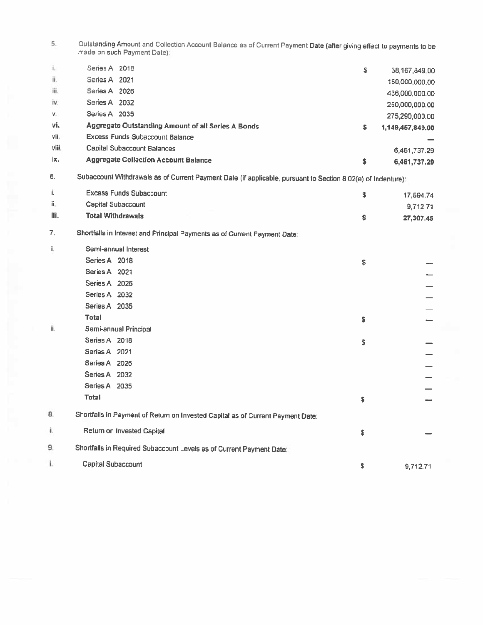Outstanding Amount and Collection Account Balance as of Current Payment Date (after giving effect to payments to be<br>made on such Payment Date); 5.

| i.    | Series A 2018                                      | s | 38,167,849.00    |
|-------|----------------------------------------------------|---|------------------|
| ii.   | Series A 2021                                      |   | 150,000,000,00   |
| iii.  | Series A 2026                                      |   | 436,000,000.00   |
| iv.   | Series A 2032                                      |   | 250,000,000.00   |
| V.    | Series A 2035                                      |   | 275,290,000.00   |
| vi.   | Aggregate Outstanding Amount of all Series A Bonds | s | 1,149,457,849.00 |
| vii.  | <b>Excess Funds Subaccount Balance</b>             |   |                  |
| viii. | Capital Subaccount Balances                        |   | 6,461,737.29     |
| ix.   | <b>Aggregate Collection Account Balance</b>        | s | 6,461,737.29     |

Subaccount Withdrawals as of Current Payment Date (if applicable, pursuant to Section 8.02(e) of Indenture):  $6. \,$ 

| i.   | <b>Excess Funds Subaccount</b>                                                  | S. | 17,594.74 |
|------|---------------------------------------------------------------------------------|----|-----------|
| ü.   | Capital Subaccount                                                              |    | 9,712.71  |
| iii. | <b>Total Withdrawals</b>                                                        | \$ | 27,307.45 |
| 7.   | Shortfalls in Interest and Principal Payments as of Current Payment Date:       |    |           |
| í,   | Semi-annual Interest                                                            |    |           |
|      | Series A 2018                                                                   | \$ |           |
|      | Series A 2021                                                                   |    |           |
|      | Series A 2026                                                                   |    |           |
|      | Series A 2032                                                                   |    |           |
|      | Series A 2035                                                                   |    |           |
|      | Total                                                                           | \$ |           |
| ii.  | Semi-annual Principal                                                           |    |           |
|      | Series A 2018                                                                   | \$ |           |
|      | Series A 2021                                                                   |    |           |
|      | Series A 2026                                                                   |    |           |
|      | Series A 2032                                                                   |    |           |
|      | Series A 2035                                                                   |    |           |
|      | Total                                                                           | \$ |           |
| 8.   | Shortfalls in Payment of Return on Invested Capital as of Current Payment Date: |    |           |
| Î.   | Return on Invested Capital                                                      | \$ |           |
| 9.   | Shortfalls in Required Subaccount Levels as of Current Payment Date:            |    |           |
| i.   | Capital Subaccount                                                              | \$ | 9,712.71  |